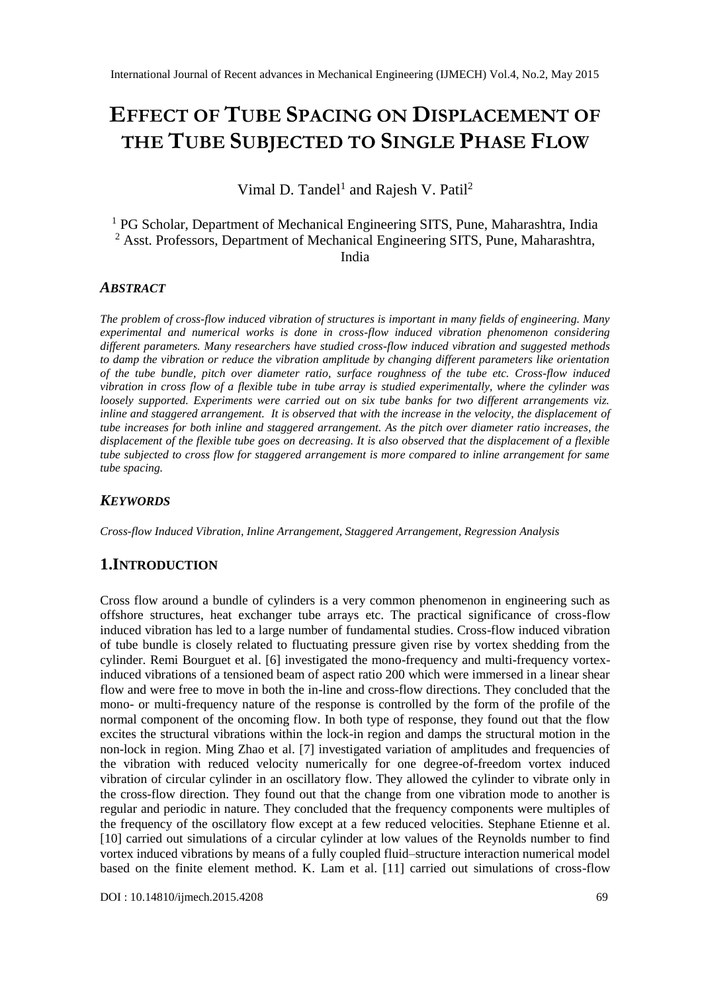# **EFFECT OF TUBE SPACING ON DISPLACEMENT OF THE TUBE SUBJECTED TO SINGLE PHASE FLOW**

Vimal D. Tandel<sup>1</sup> and Rajesh V. Patil<sup>2</sup>

<sup>1</sup> PG Scholar, Department of Mechanical Engineering SITS, Pune, Maharashtra, India <sup>2</sup> Asst. Professors, Department of Mechanical Engineering SITS, Pune, Maharashtra, India

#### *ABSTRACT*

*The problem of cross-flow induced vibration of structures is important in many fields of engineering. Many experimental and numerical works is done in cross-flow induced vibration phenomenon considering different parameters. Many researchers have studied cross-flow induced vibration and suggested methods to damp the vibration or reduce the vibration amplitude by changing different parameters like orientation of the tube bundle, pitch over diameter ratio, surface roughness of the tube etc. Cross-flow induced vibration in cross flow of a flexible tube in tube array is studied experimentally, where the cylinder was loosely supported. Experiments were carried out on six tube banks for two different arrangements viz. inline and staggered arrangement. It is observed that with the increase in the velocity, the displacement of tube increases for both inline and staggered arrangement. As the pitch over diameter ratio increases, the displacement of the flexible tube goes on decreasing. It is also observed that the displacement of a flexible tube subjected to cross flow for staggered arrangement is more compared to inline arrangement for same tube spacing.*

#### *KEYWORDS*

*Cross-flow Induced Vibration, Inline Arrangement, Staggered Arrangement, Regression Analysis*

# **1.INTRODUCTION**

Cross flow around a bundle of cylinders is a very common phenomenon in engineering such as offshore structures, heat exchanger tube arrays etc. The practical significance of cross-flow induced vibration has led to a large number of fundamental studies. Cross-flow induced vibration of tube bundle is closely related to fluctuating pressure given rise by vortex shedding from the cylinder. Remi Bourguet et al. [6] investigated the mono-frequency and multi-frequency vortexinduced vibrations of a tensioned beam of aspect ratio 200 which were immersed in a linear shear flow and were free to move in both the in-line and cross-flow directions. They concluded that the mono- or multi-frequency nature of the response is controlled by the form of the profile of the normal component of the oncoming flow. In both type of response, they found out that the flow excites the structural vibrations within the lock-in region and damps the structural motion in the non-lock in region. Ming Zhao et al. [7] investigated variation of amplitudes and frequencies of the vibration with reduced velocity numerically for one degree-of-freedom vortex induced vibration of circular cylinder in an oscillatory flow. They allowed the cylinder to vibrate only in the cross-flow direction. They found out that the change from one vibration mode to another is regular and periodic in nature. They concluded that the frequency components were multiples of the frequency of the oscillatory flow except at a few reduced velocities. Stephane Etienne et al. [10] carried out simulations of a circular cylinder at low values of the Reynolds number to find vortex induced vibrations by means of a fully coupled fluid–structure interaction numerical model based on the finite element method. K. Lam et al. [11] carried out simulations of cross-flow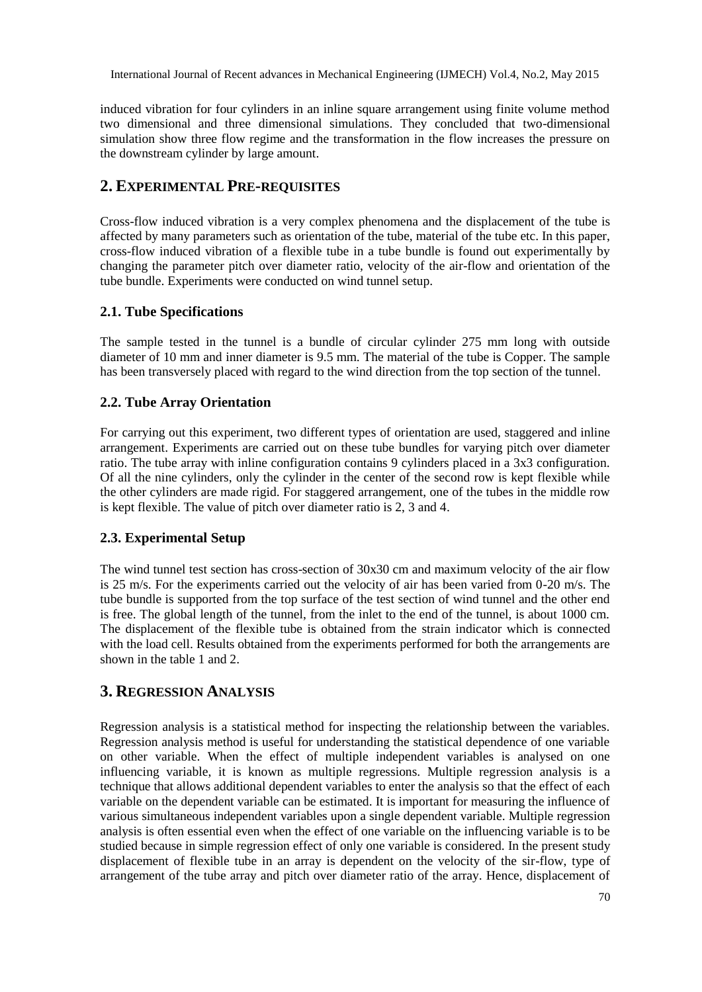International Journal of Recent advances in Mechanical Engineering (IJMECH) Vol.4, No.2, May 2015

induced vibration for four cylinders in an inline square arrangement using finite volume method two dimensional and three dimensional simulations. They concluded that two-dimensional simulation show three flow regime and the transformation in the flow increases the pressure on the downstream cylinder by large amount.

# **2. EXPERIMENTAL PRE-REQUISITES**

Cross-flow induced vibration is a very complex phenomena and the displacement of the tube is affected by many parameters such as orientation of the tube, material of the tube etc. In this paper, cross-flow induced vibration of a flexible tube in a tube bundle is found out experimentally by changing the parameter pitch over diameter ratio, velocity of the air-flow and orientation of the tube bundle. Experiments were conducted on wind tunnel setup.

#### **2.1. Tube Specifications**

The sample tested in the tunnel is a bundle of circular cylinder 275 mm long with outside diameter of 10 mm and inner diameter is 9.5 mm. The material of the tube is Copper. The sample has been transversely placed with regard to the wind direction from the top section of the tunnel.

#### **2.2. Tube Array Orientation**

For carrying out this experiment, two different types of orientation are used, staggered and inline arrangement. Experiments are carried out on these tube bundles for varying pitch over diameter ratio. The tube array with inline configuration contains 9 cylinders placed in a 3x3 configuration. Of all the nine cylinders, only the cylinder in the center of the second row is kept flexible while the other cylinders are made rigid. For staggered arrangement, one of the tubes in the middle row is kept flexible. The value of pitch over diameter ratio is 2, 3 and 4.

# **2.3. Experimental Setup**

The wind tunnel test section has cross-section of 30x30 cm and maximum velocity of the air flow is 25 m/s. For the experiments carried out the velocity of air has been varied from 0-20 m/s. The tube bundle is supported from the top surface of the test section of wind tunnel and the other end is free. The global length of the tunnel, from the inlet to the end of the tunnel, is about 1000 cm. The displacement of the flexible tube is obtained from the strain indicator which is connected with the load cell. Results obtained from the experiments performed for both the arrangements are shown in the table 1 and 2.

# **3. REGRESSION ANALYSIS**

Regression analysis is a statistical method for inspecting the relationship between the variables. Regression analysis method is useful for understanding the statistical dependence of one variable on other variable. When the effect of multiple independent variables is analysed on one influencing variable, it is known as multiple regressions. Multiple regression analysis is a technique that allows additional dependent variables to enter the analysis so that the effect of each variable on the dependent variable can be estimated. It is important for measuring the influence of various simultaneous independent variables upon a single dependent variable. Multiple regression analysis is often essential even when the effect of one variable on the influencing variable is to be studied because in simple regression effect of only one variable is considered. In the present study displacement of flexible tube in an array is dependent on the velocity of the sir-flow, type of arrangement of the tube array and pitch over diameter ratio of the array. Hence, displacement of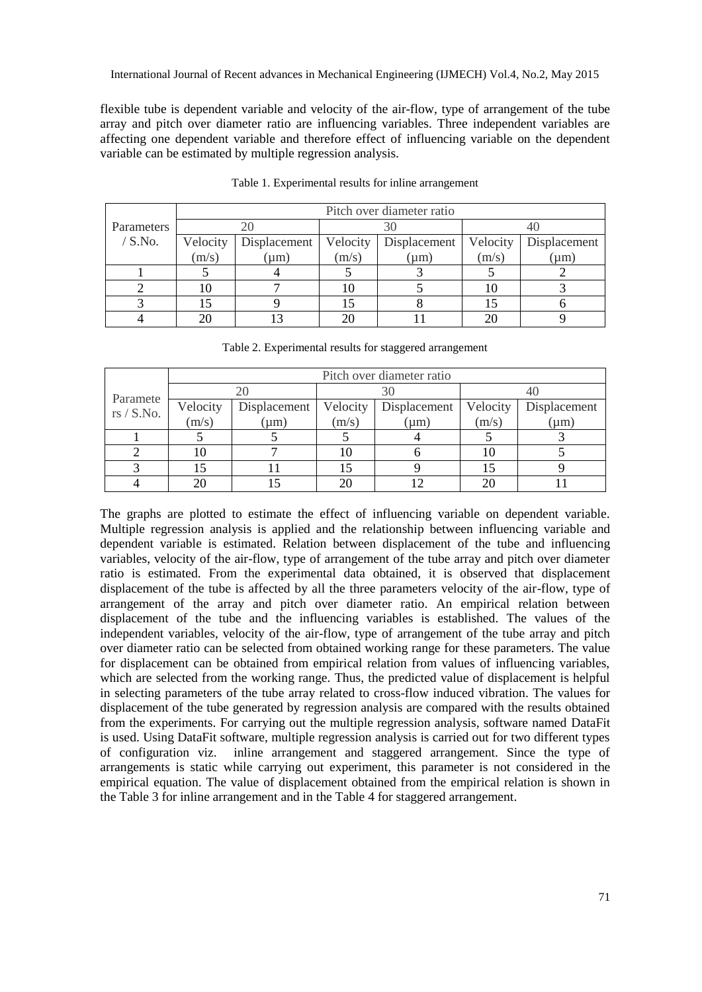flexible tube is dependent variable and velocity of the air-flow, type of arrangement of the tube array and pitch over diameter ratio are influencing variables. Three independent variables are affecting one dependent variable and therefore effect of influencing variable on the dependent variable can be estimated by multiple regression analysis.

|            | Pitch over diameter ratio |              |          |              |          |              |
|------------|---------------------------|--------------|----------|--------------|----------|--------------|
| Parameters |                           |              |          |              |          |              |
| $/$ S.No.  | Velocity                  | Displacement | Velocity | Displacement | Velocity | Displacement |
|            | (m/s)                     | $\mu$ m)     | (m/s)    | (um)         | (m/s)    | $\mu$ m)     |
|            |                           |              |          |              |          |              |
|            |                           |              |          |              | I ()     |              |
|            |                           |              |          |              |          |              |
|            |                           |              |          |              |          |              |

Table 1. Experimental results for inline arrangement

| Table 2. Experimental results for staggered arrangement |  |  |  |
|---------------------------------------------------------|--|--|--|
|---------------------------------------------------------|--|--|--|

|                        | Pitch over diameter ratio |              |          |              |          |              |
|------------------------|---------------------------|--------------|----------|--------------|----------|--------------|
|                        |                           |              | 30       |              |          |              |
| Paramete<br>rs / S.No. | Velocity                  | Displacement | Velocity | Displacement | Velocity | Displacement |
|                        | (m/s)                     | $\mu$ m)     | (m/s)    | $(\mu m)$    | (m/s)    | $(\mu m)$    |
|                        |                           |              |          |              |          |              |
|                        | 10                        |              | 10       |              |          |              |
|                        | 15                        |              |          |              |          |              |
|                        | 20                        |              |          |              |          |              |

The graphs are plotted to estimate the effect of influencing variable on dependent variable. Multiple regression analysis is applied and the relationship between influencing variable and dependent variable is estimated. Relation between displacement of the tube and influencing variables, velocity of the air-flow, type of arrangement of the tube array and pitch over diameter ratio is estimated. From the experimental data obtained, it is observed that displacement displacement of the tube is affected by all the three parameters velocity of the air-flow, type of arrangement of the array and pitch over diameter ratio. An empirical relation between displacement of the tube and the influencing variables is established. The values of the independent variables, velocity of the air-flow, type of arrangement of the tube array and pitch over diameter ratio can be selected from obtained working range for these parameters. The value for displacement can be obtained from empirical relation from values of influencing variables, which are selected from the working range. Thus, the predicted value of displacement is helpful in selecting parameters of the tube array related to cross-flow induced vibration. The values for displacement of the tube generated by regression analysis are compared with the results obtained from the experiments. For carrying out the multiple regression analysis, software named DataFit is used. Using DataFit software, multiple regression analysis is carried out for two different types of configuration viz. inline arrangement and staggered arrangement. Since the type of arrangements is static while carrying out experiment, this parameter is not considered in the empirical equation. The value of displacement obtained from the empirical relation is shown in the Table 3 for inline arrangement and in the Table 4 for staggered arrangement.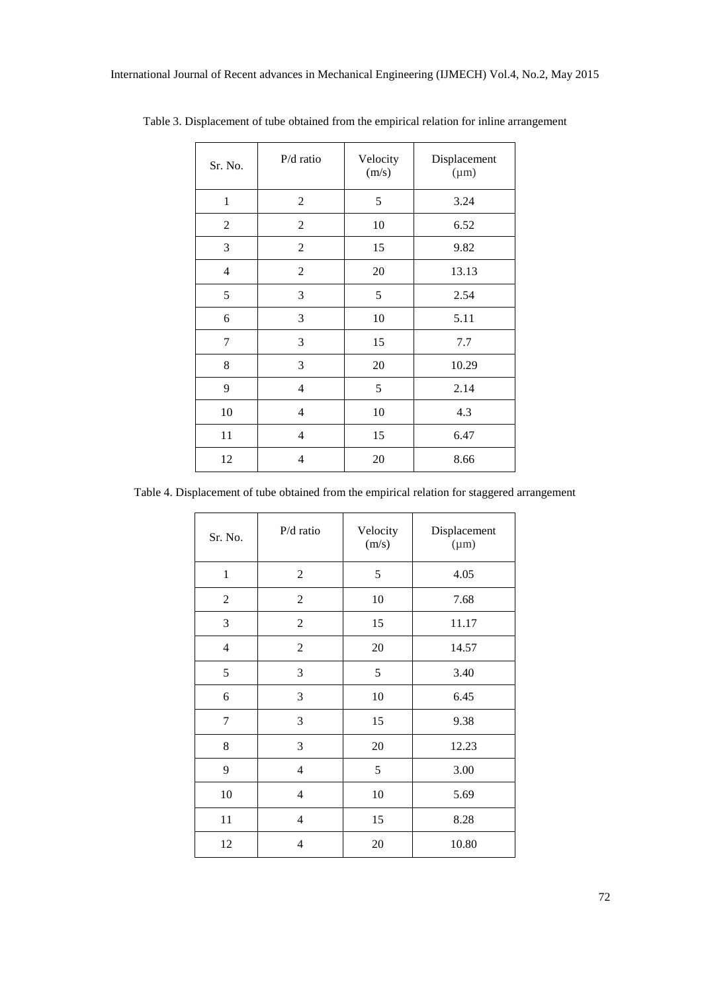| Sr. No.        | P/d ratio      | Velocity<br>(m/s) | Displacement<br>$(\mu m)$ |
|----------------|----------------|-------------------|---------------------------|
| $\mathbf{1}$   | $\mathbf{2}$   | 5                 | 3.24                      |
| $\mathfrak{2}$ | $\overline{2}$ | 10                | 6.52                      |
| 3              | $\mathbf{2}$   | 15                | 9.82                      |
| $\overline{4}$ | $\mathbf{2}$   | 20                | 13.13                     |
| 5              | 3              | 5                 | 2.54                      |
| 6              | 3              | 10                | 5.11                      |
| 7              | 3              | 15                | 7.7                       |
| 8              | 3              | 20                | 10.29                     |
| 9              | $\overline{4}$ | 5                 | 2.14                      |
| 10             | $\overline{4}$ | 10                | 4.3                       |
| 11             | 4              | 15                | 6.47                      |
| 12             | 4              | 20                | 8.66                      |

Table 3. Displacement of tube obtained from the empirical relation for inline arrangement

Table 4. Displacement of tube obtained from the empirical relation for staggered arrangement

| Sr. No.        | $P/d$ ratio              | Velocity<br>(m/s) | Displacement<br>$(\mu m)$ |
|----------------|--------------------------|-------------------|---------------------------|
| $\mathbf{1}$   | 2                        | 5                 | 4.05                      |
| $\overline{2}$ | $\overline{2}$           | 10                | 7.68                      |
| $\mathfrak{Z}$ | $\mathbf{2}$             | 15                | 11.17                     |
| 4              | $\overline{c}$           | 20                | 14.57                     |
| 5              | 3                        | 5                 | 3.40                      |
| 6              | 3                        | 10                | 6.45                      |
| $\tau$         | 3                        | 15                | 9.38                      |
| 8              | 3                        | 20                | 12.23                     |
| 9              | $\overline{\mathcal{L}}$ | 5                 | 3.00                      |
| 10             | $\overline{\mathcal{L}}$ | 10                | 5.69                      |
| 11             | $\overline{\mathcal{L}}$ | 15                | 8.28                      |
| 12             | 4                        | 20                | 10.80                     |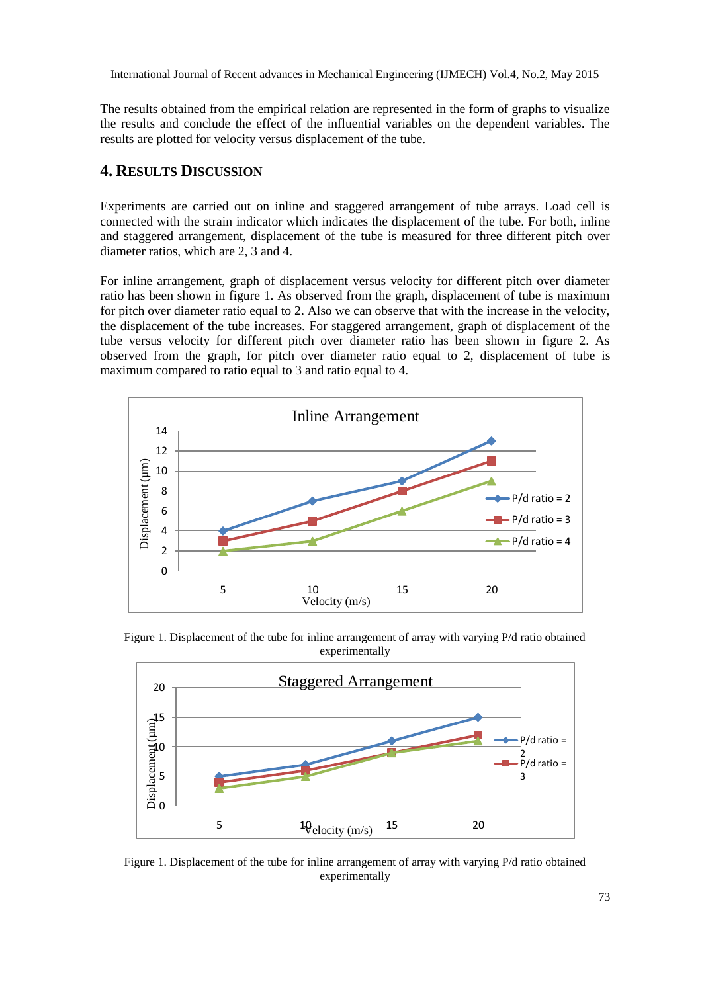International Journal of Recent advances in Mechanical Engineering (IJMECH) Vol.4, No.2, May 2015

The results obtained from the empirical relation are represented in the form of graphs to visualize the results and conclude the effect of the influential variables on the dependent variables. The results are plotted for velocity versus displacement of the tube.

# **4. RESULTS DISCUSSION**

Experiments are carried out on inline and staggered arrangement of tube arrays. Load cell is connected with the strain indicator which indicates the displacement of the tube. For both, inline and staggered arrangement, displacement of the tube is measured for three different pitch over diameter ratios, which are 2, 3 and 4.

For inline arrangement, graph of displacement versus velocity for different pitch over diameter ratio has been shown in figure 1. As observed from the graph, displacement of tube is maximum for pitch over diameter ratio equal to 2. Also we can observe that with the increase in the velocity, the displacement of the tube increases. For staggered arrangement, graph of displacement of the tube versus velocity for different pitch over diameter ratio has been shown in figure 2. As observed from the graph, for pitch over diameter ratio equal to 2, displacement of tube is maximum compared to ratio equal to 3 and ratio equal to 4.



Figure 1. Displacement of the tube for inline arrangement of array with varying P/d ratio obtained experimentally



Figure 1. Displacement of the tube for inline arrangement of array with varying P/d ratio obtained experimentally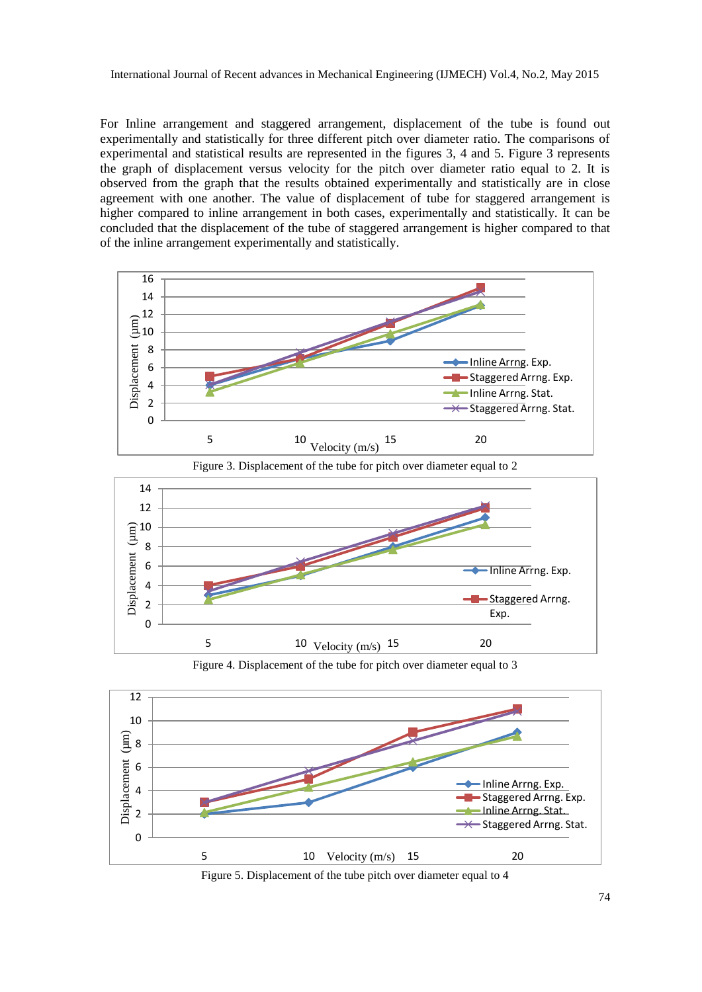For Inline arrangement and staggered arrangement, displacement of the tube is found out experimentally and statistically for three different pitch over diameter ratio. The comparisons of experimental and statistical results are represented in the figures 3, 4 and 5. Figure 3 represents the graph of displacement versus velocity for the pitch over diameter ratio equal to 2. It is observed from the graph that the results obtained experimentally and statistically are in close agreement with one another. The value of displacement of tube for staggered arrangement is higher compared to inline arrangement in both cases, experimentally and statistically. It can be concluded that the displacement of the tube of staggered arrangement is higher compared to that of the inline arrangement experimentally and statistically.





Figure 4. Displacement of the tube for pitch over diameter equal to 3



Figure 5. Displacement of the tube pitch over diameter equal to 4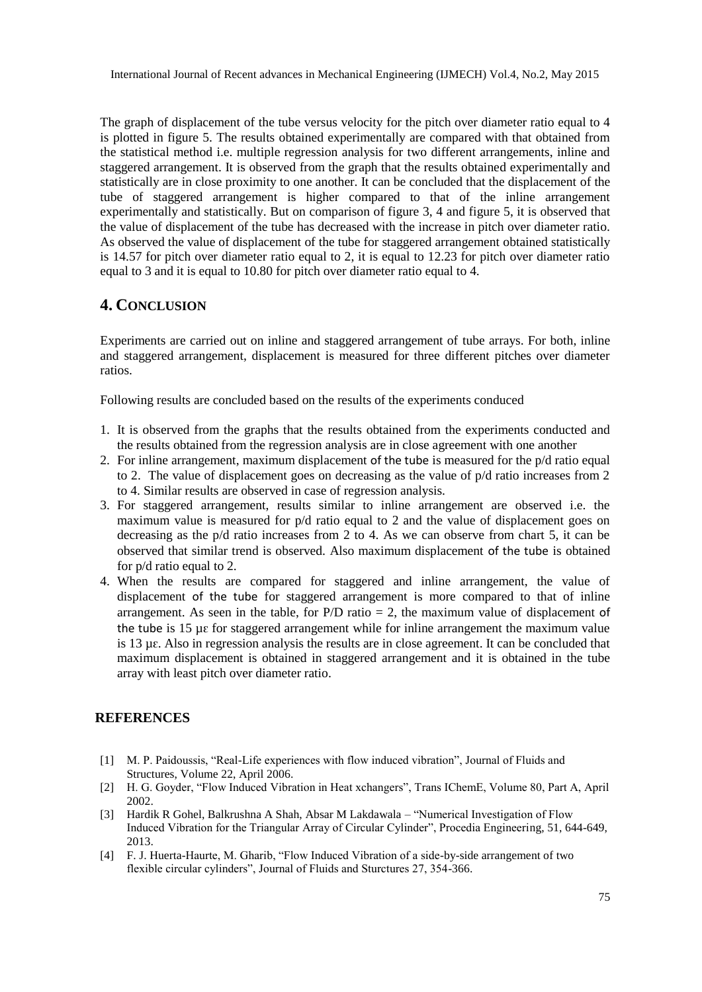The graph of displacement of the tube versus velocity for the pitch over diameter ratio equal to 4 is plotted in figure 5. The results obtained experimentally are compared with that obtained from the statistical method i.e. multiple regression analysis for two different arrangements, inline and staggered arrangement. It is observed from the graph that the results obtained experimentally and statistically are in close proximity to one another. It can be concluded that the displacement of the tube of staggered arrangement is higher compared to that of the inline arrangement experimentally and statistically. But on comparison of figure 3, 4 and figure 5, it is observed that the value of displacement of the tube has decreased with the increase in pitch over diameter ratio. As observed the value of displacement of the tube for staggered arrangement obtained statistically is 14.57 for pitch over diameter ratio equal to 2, it is equal to 12.23 for pitch over diameter ratio equal to 3 and it is equal to 10.80 for pitch over diameter ratio equal to 4.

# **4. CONCLUSION**

Experiments are carried out on inline and staggered arrangement of tube arrays. For both, inline and staggered arrangement, displacement is measured for three different pitches over diameter ratios.

Following results are concluded based on the results of the experiments conduced

- 1. It is observed from the graphs that the results obtained from the experiments conducted and the results obtained from the regression analysis are in close agreement with one another
- 2. For inline arrangement, maximum displacement of the tube is measured for the p/d ratio equal to 2. The value of displacement goes on decreasing as the value of p/d ratio increases from 2 to 4. Similar results are observed in case of regression analysis.
- 3. For staggered arrangement, results similar to inline arrangement are observed i.e. the maximum value is measured for  $p/d$  ratio equal to 2 and the value of displacement goes on decreasing as the p/d ratio increases from 2 to 4. As we can observe from chart 5, it can be observed that similar trend is observed. Also maximum displacement of the tube is obtained for p/d ratio equal to 2.
- 4. When the results are compared for staggered and inline arrangement, the value of displacement of the tube for staggered arrangement is more compared to that of inline arrangement. As seen in the table, for  $P/D$  ratio = 2, the maximum value of displacement of the tube is  $15 \mu \epsilon$  for staggered arrangement while for inline arrangement the maximum value is 13 µԑ. Also in regression analysis the results are in close agreement. It can be concluded that maximum displacement is obtained in staggered arrangement and it is obtained in the tube array with least pitch over diameter ratio.

#### **REFERENCES**

- [1] M. P. Paidoussis, "Real-Life experiences with flow induced vibration", Journal of Fluids and Structures, Volume 22, April 2006.
- [2] H. G. Goyder, "Flow Induced Vibration in Heat xchangers", Trans IChemE, Volume 80, Part A, April 2002.
- [3] Hardik R Gohel, Balkrushna A Shah, Absar M Lakdawala "Numerical Investigation of Flow Induced Vibration for the Triangular Array of Circular Cylinder", Procedia Engineering, 51, 644-649, 2013.
- [4] F. J. Huerta-Haurte, M. Gharib, "Flow Induced Vibration of a side-by-side arrangement of two flexible circular cylinders", Journal of Fluids and Sturctures 27, 354-366.